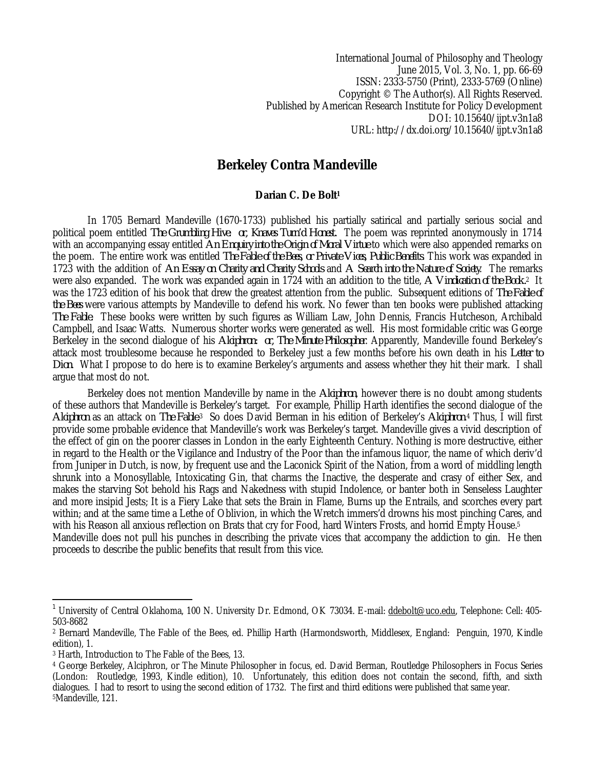International Journal of Philosophy and Theology June 2015, Vol. 3, No. 1, pp. 66-69 ISSN: 2333-5750 (Print), 2333-5769 (Online) Copyright © The Author(s). All Rights Reserved. Published by American Research Institute for Policy Development DOI: 10.15640/ijpt.v3n1a8 URL: http://dx.doi.org/10.15640/ijpt.v3n1a8

## **Berkeley Contra Mandeville**

## **Darian C. De Bolt<sup>1</sup>**

In 1705 Bernard Mandeville (1670-1733) published his partially satirical and partially serious social and political poem entitled *The Grumbling Hive: or, Knaves Turn'd Honest.* The poem was reprinted anonymously in 1714 with an accompanying essay entitled *An Enquiry into the Origin of Moral Virtue* to which were also appended remarks on the poem. The entire work was entitled *The Fable of the Bees, or Private Vices, Public Benefits*. This work was expanded in 1723 with the addition of *An Essay on Charity and Charity Schools* and *A Search into the Nature of Society*. The remarks were also expanded. The work was expanded again in 1724 with an addition to the title, *A Vindication of the Book.*2 It was the 1723 edition of his book that drew the greatest attention from the public. Subsequent editions of *The Fable of the Bees* were various attempts by Mandeville to defend his work. No fewer than ten books were published attacking *The Fable.* These books were written by such figures as William Law, John Dennis, Francis Hutcheson, Archibald Campbell, and Isaac Watts. Numerous shorter works were generated as well. His most formidable critic was George Berkeley in the second dialogue of his *Alciphron: or, The Minute Philosopher*. Apparently, Mandeville found Berkeley's attack most troublesome because he responded to Berkeley just a few months before his own death in his *Letter to Dion*. What I propose to do here is to examine Berkeley's arguments and assess whether they hit their mark. I shall argue that most do not.

Berkeley does not mention Mandeville by name in the *Alciphron*, however there is no doubt among students of these authors that Mandeville is Berkeley's target. For example, Phillip Harth identifies the second dialogue of the *Alciphron* as an attack on *The Fable*. <sup>3</sup> So does David Berman in his edition of Berkeley's *Alciphron*. <sup>4</sup> Thus, I will first provide some probable evidence that Mandeville's work was Berkeley's target. Mandeville gives a vivid description of the effect of gin on the poorer classes in London in the early Eighteenth Century. Nothing is more destructive, either in regard to the Health or the Vigilance and Industry of the Poor than the infamous liquor, the name of which deriv'd from Juniper in Dutch, is now, by frequent use and the Laconick Spirit of the Nation, from a word of middling length shrunk into a Monosyllable, Intoxicating Gin, that charms the Inactive, the desperate and crasy of either Sex, and makes the starving Sot behold his Rags and Nakedness with stupid Indolence, or banter both in Senseless Laughter and more insipid Jests; It is a Fiery Lake that sets the Brain in Flame, Burns up the Entrails, and scorches every part within; and at the same time a Lethe of Oblivion, in which the Wretch immers'd drowns his most pinching Cares, and with his Reason all anxious reflection on Brats that cry for Food, hard Winters Frosts, and horrid Empty House.<sup>5</sup> Mandeville does not pull his punches in describing the private vices that accompany the addiction to gin. He then proceeds to describe the public benefits that result from this vice.

 $\overline{a}$ 

<sup>1</sup> University of Central Oklahoma, 100 N. University Dr. Edmond, OK 73034. E-mail: ddebolt@uco.edu, Telephone: Cell: 405- 503-8682

<sup>2</sup> Bernard Mandeville, The Fable of the Bees, ed. Phillip Harth (Harmondsworth, Middlesex, England: Penguin, 1970, Kindle edition), 1.

<sup>3</sup> Harth, Introduction to The Fable of the Bees, 13.

<sup>4</sup> George Berkeley, Alciphron, or The Minute Philosopher in focus, ed. David Berman, Routledge Philosophers in Focus Series (London: Routledge, 1993, Kindle edition), 10. Unfortunately, this edition does not contain the second, fifth, and sixth dialogues. I had to resort to using the second edition of 1732. The first and third editions were published that same year. 5Mandeville, 121.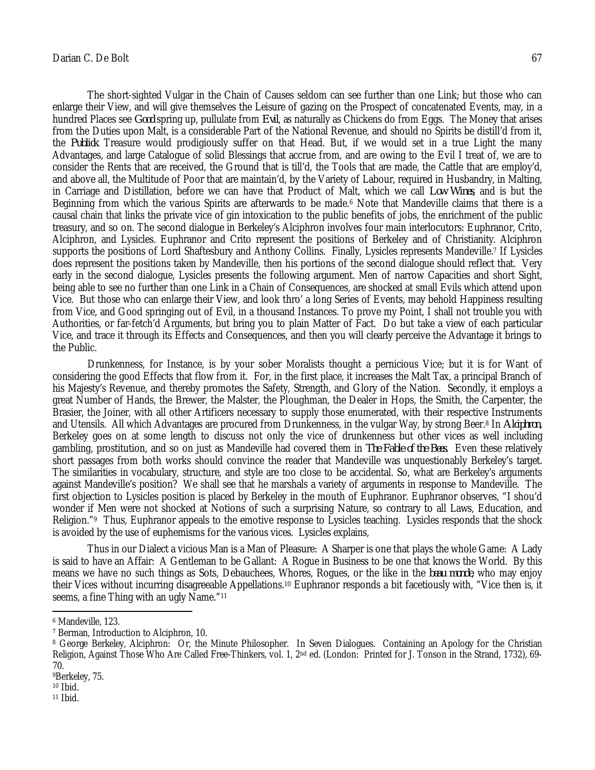The short-sighted Vulgar in the Chain of Causes seldom can see further than one Link; but those who can enlarge their View, and will give themselves the Leisure of gazing on the Prospect of concatenated Events, may, in a hundred Places see *Good* spring up, pullulate from *Evil*, as naturally as Chickens do from Eggs. The Money that arises from the Duties upon Malt, is a considerable Part of the National Revenue, and should no Spirits be distill'd from it, the *Publick* Treasure would prodigiously suffer on that Head. But, if we would set in a true Light the many Advantages, and large Catalogue of solid Blessings that accrue from, and are owing to the Evil I treat of, we are to consider the Rents that are received, the Ground that is till'd, the Tools that are made, the Cattle that are employ'd, and above all, the Multitude of Poor that are maintain'd, by the Variety of Labour, required in Husbandry, in Malting, in Carriage and Distillation, before we can have that Product of Malt, which we call *Low Wines*, and is but the Beginning from which the various Spirits are afterwards to be made.<sup>6</sup> Note that Mandeville claims that there is a causal chain that links the private vice of gin intoxication to the public benefits of jobs, the enrichment of the public treasury, and so on. The second dialogue in Berkeley's Alciphron involves four main interlocutors: Euphranor, Crito, Alciphron, and Lysicles. Euphranor and Crito represent the positions of Berkeley and of Christianity. Alciphron supports the positions of Lord Shaftesbury and Anthony Collins. Finally, Lysicles represents Mandeville.<sup>7</sup> If Lysicles does represent the positions taken by Mandeville, then his portions of the second dialogue should reflect that. Very early in the second dialogue, Lysicles presents the following argument. Men of narrow Capacities and short Sight, being able to see no further than one Link in a Chain of Consequences, are shocked at small Evils which attend upon Vice. But those who can enlarge their View, and look thro' a long Series of Events, may behold Happiness resulting from Vice, and Good springing out of Evil, in a thousand Instances. To prove my Point, I shall not trouble you with Authorities, or far-fetch'd Arguments, but bring you to plain Matter of Fact. Do but take a view of each particular Vice, and trace it through its Effects and Consequences, and then you will clearly perceive the Advantage it brings to the Public.

Drunkenness, for Instance, is by your sober Moralists thought a pernicious Vice; but it is for Want of considering the good Effects that flow from it. For, in the first place, it increases the Malt Tax, a principal Branch of his Majesty's Revenue, and thereby promotes the Safety, Strength, and Glory of the Nation. Secondly, it employs a great Number of Hands, the Brewer, the Malster, the Ploughman, the Dealer in Hops, the Smith, the Carpenter, the Brasier, the Joiner, with all other Artificers necessary to supply those enumerated, with their respective Instruments and Utensils. All which Advantages are procured from Drunkenness, in the vulgar Way, by strong Beer. <sup>8</sup> In *Alciphron*, Berkeley goes on at some length to discuss not only the vice of drunkenness but other vices as well including gambling, prostitution, and so on just as Mandeville had covered them in *The Fable of the Bees.* Even these relatively short passages from both works should convince the reader that Mandeville was unquestionably Berkeley's target. The similarities in vocabulary, structure, and style are too close to be accidental. So, what are Berkeley's arguments against Mandeville's position? We shall see that he marshals a variety of arguments in response to Mandeville. The first objection to Lysicles position is placed by Berkeley in the mouth of Euphranor. Euphranor observes, "I shou'd wonder if Men were not shocked at Notions of such a surprising Nature, so contrary to all Laws, Education, and Religion."<sup>9</sup> Thus, Euphranor appeals to the emotive response to Lysicles teaching. Lysicles responds that the shock is avoided by the use of euphemisms for the various vices. Lysicles explains,

Thus in our Dialect a vicious Man is a Man of Pleasure: A Sharper is one that plays the whole Game: A Lady is said to have an Affair: A Gentleman to be Gallant: A Rogue in Business to be one that knows the World. By this means we have no such things as Sots, Debauchees, Whores, Rogues, or the like in the *beau monde*, who may enjoy their Vices without incurring disagreeable Appellations.<sup>10</sup> Euphranor responds a bit facetiously with, "Vice then is, it seems, a fine Thing with an ugly Name."<sup>11</sup>

<sup>11</sup> Ibid.

 $\overline{a}$ 

<sup>6</sup> Mandeville, 123.

<sup>7</sup> Berman, Introduction to Alciphron, 10.

<sup>&</sup>lt;sup>8</sup> George Berkeley, Alciphron: Or, the Minute Philosopher. In Seven Dialogues. Containing an Apology for the Christian Religion, Against Those Who Are Called Free-Thinkers, vol. 1, 2nd ed. (London: Printed for J. Tonson in the Strand, 1732), 69- 70.

<sup>9</sup>Berkeley, 75.

 $10$  Ibid.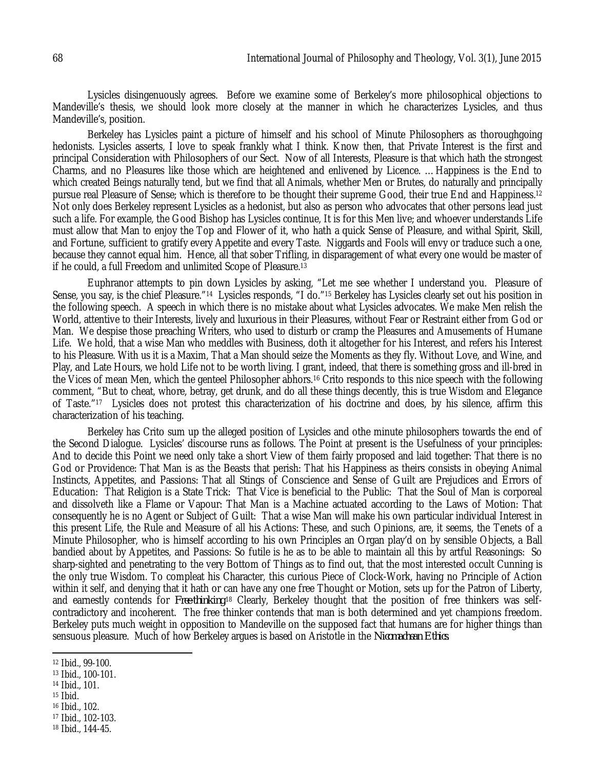Lysicles disingenuously agrees. Before we examine some of Berkeley's more philosophical objections to Mandeville's thesis, we should look more closely at the manner in which he characterizes Lysicles, and thus Mandeville's, position.

Berkeley has Lysicles paint a picture of himself and his school of Minute Philosophers as thoroughgoing hedonists. Lysicles asserts, I love to speak frankly what I think. Know then, that Private Interest is the first and principal Consideration with Philosophers of our Sect. Now of all Interests, Pleasure is that which hath the strongest Charms, and no Pleasures like those which are heightened and enlivened by Licence. …Happiness is the End to which created Beings naturally tend, but we find that all Animals, whether Men or Brutes, do naturally and principally pursue real Pleasure of Sense; which is therefore to be thought their supreme Good, their true End and Happiness.<sup>12</sup> Not only does Berkeley represent Lysicles as a hedonist, but also as person who advocates that other persons lead just such a life. For example, the Good Bishop has Lysicles continue, It is for this Men live; and whoever understands Life must allow that Man to enjoy the Top and Flower of it, who hath a quick Sense of Pleasure, and withal Spirit, Skill, and Fortune, sufficient to gratify every Appetite and every Taste. Niggards and Fools will envy or traduce such a one, because they cannot equal him. Hence, all that sober Trifling, in disparagement of what every one would be master of if he could, a full Freedom and unlimited Scope of Pleasure.<sup>13</sup>

Euphranor attempts to pin down Lysicles by asking, "Let me see whether I understand you. Pleasure of Sense, you say, is the chief Pleasure."14 Lysicles responds, "I do."<sup>15</sup> Berkeley has Lysicles clearly set out his position in the following speech. A speech in which there is no mistake about what Lysicles advocates. We make Men relish the World, attentive to their Interests, lively and luxurious in their Pleasures, without Fear or Restraint either from God or Man. We despise those preaching Writers, who used to disturb or cramp the Pleasures and Amusements of Humane Life. We hold, that a wise Man who meddles with Business, doth it altogether for his Interest, and refers his Interest to his Pleasure. With us it is a Maxim, That a Man should seize the Moments as they fly. Without Love, and Wine, and Play, and Late Hours, we hold Life not to be worth living. I grant, indeed, that there is something gross and ill-bred in the Vices of mean Men, which the genteel Philosopher abhors.<sup>16</sup> Crito responds to this nice speech with the following comment, "But to cheat, whore, betray, get drunk, and do all these things decently, this is true Wisdom and Elegance of Taste."17 Lysicles does not protest this characterization of his doctrine and does, by his silence, affirm this characterization of his teaching.

Berkeley has Crito sum up the alleged position of Lysicles and othe minute philosophers towards the end of the Second Dialogue. Lysicles' discourse runs as follows. The Point at present is the Usefulness of your principles: And to decide this Point we need only take a short View of them fairly proposed and laid together: That there is no God or Providence: That Man is as the Beasts that perish: That his Happiness as theirs consists in obeying Animal Instincts, Appetites, and Passions: That all Stings of Conscience and Sense of Guilt are Prejudices and Errors of Education: That Religion is a State Trick: That Vice is beneficial to the Public: That the Soul of Man is corporeal and dissolveth like a Flame or Vapour: That Man is a Machine actuated according to the Laws of Motion: That consequently he is no Agent or Subject of Guilt: That a wise Man will make his own particular individual Interest in this present Life, the Rule and Measure of all his Actions: These, and such Opinions, are, it seems, the Tenets of a Minute Philosopher, who is himself according to his own Principles an Organ play'd on by sensible Objects, a Ball bandied about by Appetites, and Passions: So futile is he as to be able to maintain all this by artful Reasonings: So sharp-sighted and penetrating to the very Bottom of Things as to find out, that the most interested occult Cunning is the only true Wisdom. To compleat his Character, this curious Piece of Clock-Work, having no Principle of Action within it self, and denying that it hath or can have any one free Thought or Motion, sets up for the Patron of Liberty, and earnestly contends for *Free-thinking*.<sup>18</sup> Clearly, Berkeley thought that the position of free thinkers was selfcontradictory and incoherent. The free thinker contends that man is both determined and yet champions freedom. Berkeley puts much weight in opposition to Mandeville on the supposed fact that humans are for higher things than sensuous pleasure. Much of how Berkeley argues is based on Aristotle in the *Nicomachean Ethics*.

- <sup>14</sup> Ibid., 101.
- $15$  Ibid.

 $\overline{a}$ 

- <sup>16</sup> Ibid., 102.
- <sup>17</sup> Ibid., 102-103.
- <sup>18</sup> Ibid., 144-45.

<sup>12</sup> Ibid., 99-100.

<sup>13</sup> Ibid., 100-101.